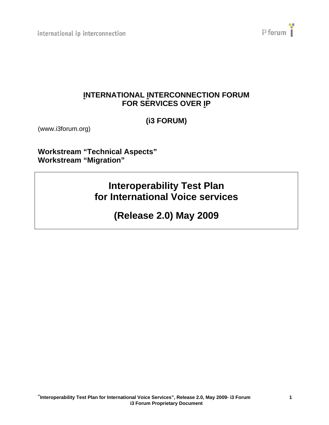international ip interconnection



# **INTERNATIONAL INTERCONNECTION FORUM FOR SERVICES OVER IP**

**(i3 FORUM)** 

(www.i3forum.org)

**Workstream "Technical Aspects" Workstream "Migration"** 

> **Interoperability Test Plan for International Voice services**

> > **(Release 2.0) May 2009**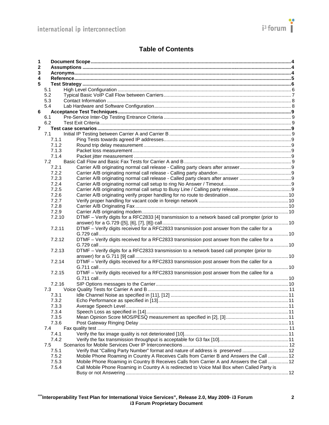

# **Table of Contents**

| 1              |        |                                                                                                |  |  |  |  |
|----------------|--------|------------------------------------------------------------------------------------------------|--|--|--|--|
| 2              |        |                                                                                                |  |  |  |  |
| 3              |        |                                                                                                |  |  |  |  |
| 4              |        |                                                                                                |  |  |  |  |
| 5              |        |                                                                                                |  |  |  |  |
|                | 5.1    |                                                                                                |  |  |  |  |
|                | 5.2    |                                                                                                |  |  |  |  |
|                | 5.3    |                                                                                                |  |  |  |  |
|                | 5.4    |                                                                                                |  |  |  |  |
| 6              |        |                                                                                                |  |  |  |  |
|                | 6.1    |                                                                                                |  |  |  |  |
|                | 6.2    |                                                                                                |  |  |  |  |
| $\overline{7}$ |        |                                                                                                |  |  |  |  |
|                | 7.1    |                                                                                                |  |  |  |  |
|                | 7.1.1  |                                                                                                |  |  |  |  |
|                | 7.1.2  |                                                                                                |  |  |  |  |
|                | 7.1.3  |                                                                                                |  |  |  |  |
|                | 7.1.4  |                                                                                                |  |  |  |  |
|                | 7.2    |                                                                                                |  |  |  |  |
|                | 7.2.1  |                                                                                                |  |  |  |  |
|                | 7.2.2  |                                                                                                |  |  |  |  |
|                | 7.2.3  |                                                                                                |  |  |  |  |
|                | 7.2.4  |                                                                                                |  |  |  |  |
|                | 7.2.5  |                                                                                                |  |  |  |  |
|                | 7.2.6  |                                                                                                |  |  |  |  |
|                | 7.2.7  |                                                                                                |  |  |  |  |
|                | 7.2.8  |                                                                                                |  |  |  |  |
|                | 7.2.9  |                                                                                                |  |  |  |  |
|                | 7.2.10 | DTMF - Verify digits for a RFC2833 [4] transmission to a network based call prompter (prior to |  |  |  |  |
|                |        |                                                                                                |  |  |  |  |
|                | 7.2.11 | DTMF - Verify digits received for a RFC2833 transmission post answer from the caller for a     |  |  |  |  |
|                |        |                                                                                                |  |  |  |  |
|                | 7.2.12 | DTMF - Verify digits received for a RFC2833 transmission post answer from the callee for a     |  |  |  |  |
|                |        |                                                                                                |  |  |  |  |
|                | 7.2.13 | DTMF - Verify digits for a RFC2833 transmission to a network based call prompter (prior to     |  |  |  |  |
|                |        |                                                                                                |  |  |  |  |
|                | 7.2.14 | DTMF - Verify digits received for a RFC2833 transmission post answer from the caller for a     |  |  |  |  |
|                |        |                                                                                                |  |  |  |  |
|                | 7.2.15 | DTMF - Verify digits received for a RFC2833 transmission post answer from the callee for a     |  |  |  |  |
|                |        |                                                                                                |  |  |  |  |
|                | 7.2.16 |                                                                                                |  |  |  |  |
|                | 7.3    |                                                                                                |  |  |  |  |
|                | 7.3.1  |                                                                                                |  |  |  |  |
|                | 7.3.2  |                                                                                                |  |  |  |  |
|                | 7.3.3  |                                                                                                |  |  |  |  |
|                | 7.3.4  |                                                                                                |  |  |  |  |
|                | 7.3.5  |                                                                                                |  |  |  |  |
|                | 7.3.6  |                                                                                                |  |  |  |  |
|                | 7.4    |                                                                                                |  |  |  |  |
|                | 7.4.1  |                                                                                                |  |  |  |  |
|                | 7.4.2  |                                                                                                |  |  |  |  |
|                | 7.5    |                                                                                                |  |  |  |  |
|                | 7.5.1  | Verify that "Calling Party Number" format and nature of address is preserved  12               |  |  |  |  |
|                | 7.5.2  | Mobile Phone Roaming in Country A Receives Calls from Carrier B and Answers the Call  12       |  |  |  |  |
|                | 7.5.3  | Mobile Phone Roaming in Country B Receives Calls from Carrier A and Answers the Call  12       |  |  |  |  |
|                | 7.5.4  | Call Mobile Phone Roaming in Country A is redirected to Voice Mail Box when Called Party is    |  |  |  |  |
|                |        |                                                                                                |  |  |  |  |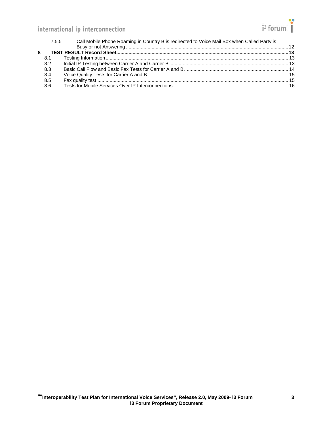# international ip interconnection

| 8.2<br>8.3<br>8.4<br>8.5<br>8.6 | 7.5.5 | Call Mobile Phone Roaming in Country B is redirected to Voice Mail Box when Called Party is |  |
|---------------------------------|-------|---------------------------------------------------------------------------------------------|--|
|                                 |       |                                                                                             |  |
|                                 |       |                                                                                             |  |
|                                 |       |                                                                                             |  |
|                                 |       |                                                                                             |  |
|                                 |       |                                                                                             |  |
|                                 |       |                                                                                             |  |
|                                 |       |                                                                                             |  |
|                                 |       |                                                                                             |  |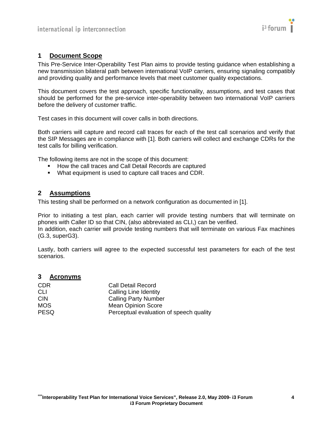

## <span id="page-3-1"></span><span id="page-3-0"></span>**1 Document Scope**

This Pre-Service Inter-Operability Test Plan aims to provide testing guidance when establishing a new transmission bilateral path between international VoIP carriers, ensuring signaling compatibly and providing quality and performance levels that meet customer quality expectations.

This document covers the test approach, specific functionality, assumptions, and test cases that should be performed for the pre-service inter-operability between two international VoIP carriers before the delivery of customer traffic.

Test cases in this document will cover calls in both directions.

Both carriers will capture and record call traces for each of the test call scenarios and verify that the SIP Messages are in compliance with [\[1\].](#page-4-2) Both carriers will collect and exchange CDRs for the test calls for billing verification.

The following items are not in the scope of this document:

- **How the call traces and Call Detail Records are captured**
- What equipment is used to capture call traces and CDR.

## <span id="page-3-2"></span>**2 Assumptions**

This testing shall be performed on a network configuration as documented in [\[1\]](#page-4-2).

Prior to initiating a test plan, each carrier will provide testing numbers that will terminate on phones with Caller ID so that CIN, (also abbreviated as CLI,) can be verified. In addition, each carrier will provide testing numbers that will terminate on various Fax machines (G.3, superG3).

Lastly, both carriers will agree to the expected successful test parameters for each of the test scenarios.

#### <span id="page-3-3"></span>**3 Acronyms**

| <b>CDR</b>  | Call Detail Record                      |
|-------------|-----------------------------------------|
| <b>CLI</b>  | Calling Line Identity                   |
| <b>CIN</b>  | <b>Calling Party Number</b>             |
| <b>MOS</b>  | <b>Mean Opinion Score</b>               |
| <b>PESQ</b> | Perceptual evaluation of speech quality |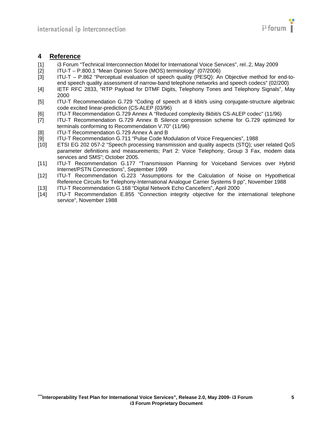

#### <span id="page-4-1"></span><span id="page-4-0"></span>**4 Reference**

- <span id="page-4-2"></span>[1] i3 Forum "Technical Interconnection Model for International Voice Services", rel..2, May 2009<br>[2] ITU-T – P.800.1 "Mean Opinion Score (MOS) terminology" (07/2006)
- <span id="page-4-13"></span>[2] ITU-T – P.800.1 "Mean Opinion Score (MOS) terminology" (07/2006)
- <span id="page-4-14"></span>[3] ITU-T – P.862 "Perceptual evaluation of speech quality (PESQ): An Objective method for end-toend speech quality assessment of narrow-band telephone networks and speech codecs" (02/200)
- <span id="page-4-3"></span>[4] IETF RFC 2833, "RTP Payload for DTMF Digits, Telephony Tones and Telephony Signals", May 2000
- <span id="page-4-4"></span>[5] ITU-T Recommendation G.729 "Coding of speech at 8 kbit/s using conjugate-structure algebraic code excited linear-prediction (CS-ALEP (03/96)
- <span id="page-4-5"></span>[6] ITU-T Recommendation G.729 Annex A "Reduced complexity 8kbit/s CS-ALEP codec" (11/96)
- <span id="page-4-7"></span><span id="page-4-6"></span>[7] ITU-T Recommendation G.729 Annex B Silence compression scheme for G.729 optimized for terminals conforming to Recommendation V.70" (11/96)
- [8] ITU-T Recommendation G.729 Annex A and B
- <span id="page-4-8"></span>[9] ITU-T Recommendation G.711 "Pulse Code Modulation of Voice Frequencies", 1988
- <span id="page-4-15"></span>[10] ETSI EG 202 057-2 "Speech processing transmission and quality aspects (STQ); user related QoS parameter definitions and measurements; Part 2: Voice Telephony, Group 3 Fax, modem data services and SMS"; October 2005.
- <span id="page-4-10"></span><span id="page-4-9"></span>[11] ITU-T Recommendation G.177 "Transmission Planning for Voiceband Services over Hybrid Internet/PSTN Connections", September 1999
- <span id="page-4-11"></span>[12] ITU-T Recommendation G.223 "Assumptions for the Calculation of Noise on Hypothetical Reference Circuits for Telephony-International Analogue Carrier Systems 9 pp", November 1988
- [13] ITU-T Recommendation G.168 "Digital Network Echo Cancellers", April 2000
- <span id="page-4-12"></span>[14] ITU-T Recommendation E.855 "Connection integrity objective for the international telephone service", November 1988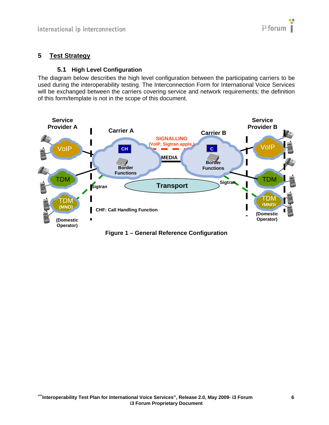# <span id="page-5-1"></span><span id="page-5-0"></span>**5 Test Strategy**

## **5.1 High Level Configuration**

<span id="page-5-2"></span>The diagram below describes the high level configuration between the participating carriers to be used during the interoperability testing. The Interconnection Form for International Voice Services will be exchanged between the carriers covering service and network requirements; the definition of this form/template is not in the scope of this document.



**Figure 1 – General Reference Configuration**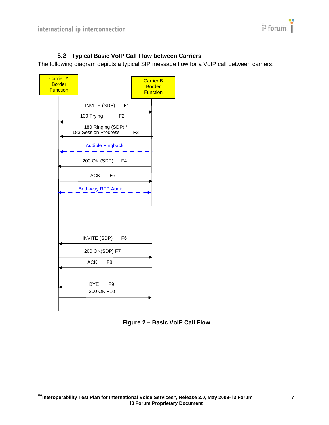

# **5.2 Typical Basic VoIP Call Flow between Carriers**

<span id="page-6-1"></span><span id="page-6-0"></span>The following diagram depicts a typical SIP message flow for a VoIP call between carriers.



**Figure 2 – Basic VoIP Call Flow**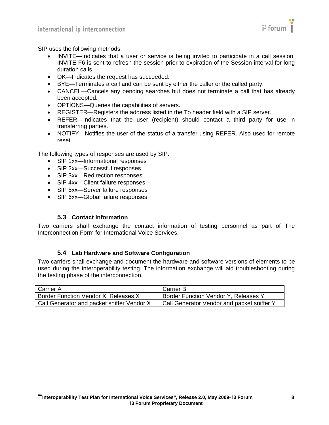

<span id="page-7-0"></span>SIP uses the following methods:

- INVITE—Indicates that a user or service is being invited to participate in a call session. INVITE F6 is sent to refresh the session prior to expiration of the Session interval for long duration calls.
- OK—Indicates the request has succeeded.
- BYE—Terminates a call and can be sent by either the caller or the called party.
- CANCEL—Cancels any pending searches but does not terminate a call that has already been accepted.
- OPTIONS—Queries the capabilities of servers.
- REGISTER—Registers the address listed in the To header field with a SIP server.
- REFER—Indicates that the user (recipient) should contact a third party for use in transferring parties.
- NOTIFY—Notifies the user of the status of a transfer using REFER. Also used for remote reset.

The following types of responses are used by SIP:

- SIP 1xx—Informational responses
- SIP 2xx-Successful responses
- SIP 3xx-Redirection responses
- SIP 4xx-Client failure responses
- SIP 5xx—Server failure responses
- SIP 6xx-Global failure responses

#### **5.3 Contact Information**

<span id="page-7-1"></span>Two carriers shall exchange the contact information of testing personnel as part of The Interconnection Form for International Voice Services.

#### **5.4 Lab Hardware and Software Configuration**

<span id="page-7-2"></span>Two carriers shall exchange and document the hardware and software versions of elements to be used during the interoperability testing. The information exchange will aid troubleshooting during the testing phase of the interconnection.

| Carrier A                                  | Carrier B                                   |
|--------------------------------------------|---------------------------------------------|
| Border Function Vendor X, Releases X       | <b>Border Function Vendor Y, Releases Y</b> |
| Call Generator and packet sniffer Vendor X | Call Generator Vendor and packet sniffer Y  |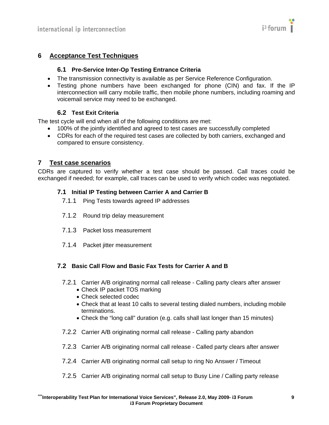

# <span id="page-8-2"></span><span id="page-8-1"></span><span id="page-8-0"></span>**6 Acceptance Test Techniques**

#### **6.1 Pre-Service Inter-Op Testing Entrance Criteria**

- The transmission connectivity is available as per Service Reference Configuration.
- Testing phone numbers have been exchanged for phone (CIN) and fax. If the IP interconnection will carry mobile traffic, then mobile phone numbers, including roaming and voicemail service may need to be exchanged.

#### **6.2 Test Exit Criteria**

<span id="page-8-3"></span>The test cycle will end when all of the following conditions are met:

- 100% of the jointly identified and agreed to test cases are successfully completed
- CDRs for each of the required test cases are collected by both carriers, exchanged and compared to ensure consistency.

## <span id="page-8-4"></span>**7 Test case scenarios**

<span id="page-8-7"></span><span id="page-8-6"></span><span id="page-8-5"></span>CDRs are captured to verify whether a test case should be passed. Call traces could be exchanged if needed; for example, call traces can be used to verify which codec was negotiated.

# **7.1 Initial IP Testing between Carrier A and Carrier B**

- 7.1.1 Ping Tests towards agreed IP addresses
- 7.1.2 Round trip delay measurement
- <span id="page-8-8"></span>7.1.3 Packet loss measurement
- 7.1.4 Packet jitter measurement

#### <span id="page-8-11"></span><span id="page-8-10"></span><span id="page-8-9"></span>**7.2 Basic Call Flow and Basic Fax Tests for Carrier A and B**

- 7.2.1 Carrier A/B originating normal call release Calling party clears after answer
	- Check IP packet TOS marking
	- Check selected codec
	- Check that at least 10 calls to several testing dialed numbers, including mobile terminations.
	- Check the "long call" duration (e.g. calls shall last longer than 15 minutes)
- <span id="page-8-12"></span>7.2.2 Carrier A/B originating normal call release - Calling party abandon
- <span id="page-8-13"></span>7.2.3 Carrier A/B originating normal call release - Called party clears after answer
- <span id="page-8-14"></span>7.2.4 Carrier A/B originating normal call setup to ring No Answer / Timeout
- <span id="page-8-15"></span>7.2.5 Carrier A/B originating normal call setup to Busy Line / Calling party release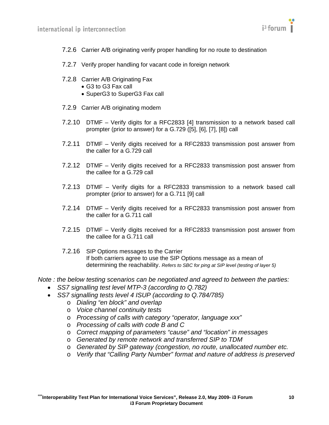

- <span id="page-9-1"></span><span id="page-9-0"></span>7.2.6 Carrier A/B originating verify proper handling for no route to destination
- <span id="page-9-2"></span>7.2.7 Verify proper handling for vacant code in foreign network
- <span id="page-9-3"></span>7.2.8 Carrier A/B Originating Fax
	- G3 to G3 Fax call
	- SuperG3 to SuperG3 Fax call
- <span id="page-9-4"></span>7.2.9 Carrier A/B originating modem
- <span id="page-9-5"></span>7.2.10 DTMF – Verify digits for a RFC2833 [\[4\]](#page-4-3) transmission to a network based call prompter (prior to answer) for a G.729 [\(\[5\],](#page-4-4) [\[6\]](#page-4-5), [\[7\]](#page-4-6), [\[8\]\)](#page-4-7) call
- <span id="page-9-6"></span>7.2.11 DTMF – Verify digits received for a RFC2833 transmission post answer from the caller for a G.729 call
- <span id="page-9-7"></span>7.2.12 DTMF – Verify digits received for a RFC2833 transmission post answer from the callee for a G.729 call
- <span id="page-9-8"></span>7.2.13 DTMF – Verify digits for a RFC2833 transmission to a network based call prompter (prior to answer) for a G.711 [\[9\]](#page-4-8) call
- <span id="page-9-9"></span>7.2.14 DTMF – Verify digits received for a RFC2833 transmission post answer from the caller for a G.711 call
- <span id="page-9-10"></span>7.2.15 DTMF – Verify digits received for a RFC2833 transmission post answer from the callee for a G.711 call
- 7.2.16 SIP Options messages to the Carrier If both carriers agree to use the SIP Options message as a mean of determining the reachability. *Refers to SBC for ping at SIP level (testing of layer 5)*

<span id="page-9-11"></span>*Note : the below testing scenarios can be negotiated and agreed to between the parties:* 

- *SS7 signalling test level MTP-3 (according to Q.782)*
- *SS7 signalling tests level 4 ISUP (according to Q.784/785)* 
	- o *Dialing "en block" and overlap*
	- o *Voice channel continuity tests*
	- o *Processing of calls with category "operator, language xxx"*
	- o *Processing of calls with code B and C*
	- o *Correct mapping of parameters "cause" and "location" in messages*
	- o *Generated by remote network and transferred SIP to TDM*
	- o *Generated by SIP gateway (congestion, no route, unallocated number etc.*
	- o *Verify that "Calling Party Number" format and nature of address is preserved*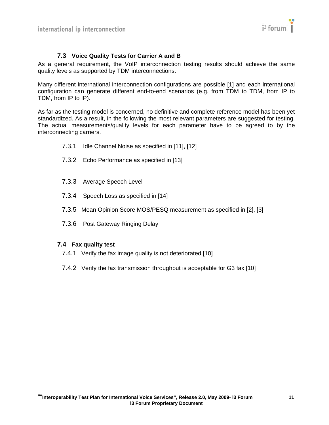

# **7.3 Voice Quality Tests for Carrier A and B**

<span id="page-10-1"></span><span id="page-10-0"></span>As a general requirement, the VoIP interconnection testing results should achieve the same quality levels as supported by TDM interconnections.

Many different international interconnection configurations are possible [\[1\]](#page-4-2) and each international configuration can generate different end-to-end scenarios (e.g. from TDM to TDM, from IP to TDM, from IP to IP).

<span id="page-10-3"></span><span id="page-10-2"></span>As far as the testing model is concerned, no definitive and complete reference model has been yet standardized. As a result, in the following the most relevant parameters are suggested for testing. The actual measurements/quality levels for each parameter have to be agreed to by the interconnecting carriers.

- 7.3.1 Idle Channel Noise as specified in [\[11\],](#page-4-9) [\[12\]](#page-4-10)
- 7.3.2 Echo Performance as specified in [\[13\]](#page-4-11)
- <span id="page-10-4"></span>7.3.3 Average Speech Level
- <span id="page-10-5"></span>7.3.4 Speech Loss as specified in [\[14\]](#page-4-12)
- <span id="page-10-6"></span>7.3.5 Mean Opinion Score MOS/PESQ measurement as specified in [\[2\],](#page-4-13) [\[3\]](#page-4-14)
- 7.3.6 Post Gateway Ringing Delay

#### <span id="page-10-10"></span><span id="page-10-9"></span><span id="page-10-8"></span><span id="page-10-7"></span>**7.4 Fax quality test**

- 7.4.1 Verify the fax image quality is not deteriorated [\[10\]](#page-4-15)
- 7.4.2 Verify the fax transmission throughput is acceptable for G3 fax [10]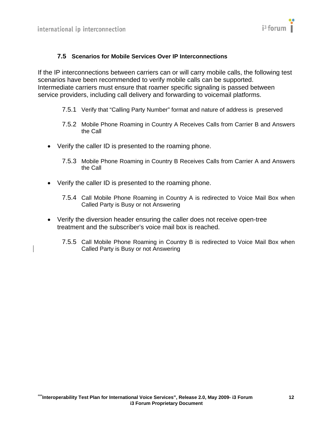

## <span id="page-11-0"></span>**7.5 Scenarios for Mobile Services Over IP Interconnections**

<span id="page-11-2"></span><span id="page-11-1"></span>If the IP interconnections between carriers can or will carry mobile calls, the following test scenarios have been recommended to verify mobile calls can be supported. Intermediate carriers must ensure that roamer specific signaling is passed between service providers, including call delivery and forwarding to voicemail platforms.

- 7.5.1 Verify that "Calling Party Number" format and nature of address is preserved
- 7.5.2 Mobile Phone Roaming in Country A Receives Calls from Carrier B and Answers the Call
- <span id="page-11-4"></span><span id="page-11-3"></span>• Verify the caller ID is presented to the roaming phone.
	- 7.5.3 Mobile Phone Roaming in Country B Receives Calls from Carrier A and Answers the Call
- <span id="page-11-5"></span>• Verify the caller ID is presented to the roaming phone.
	- 7.5.4 Call Mobile Phone Roaming in Country A is redirected to Voice Mail Box when Called Party is Busy or not Answering
- <span id="page-11-6"></span>• Verify the diversion header ensuring the caller does not receive open-tree treatment and the subscriber's voice mail box is reached.
	- 7.5.5 Call Mobile Phone Roaming in Country B is redirected to Voice Mail Box when Called Party is Busy or not Answering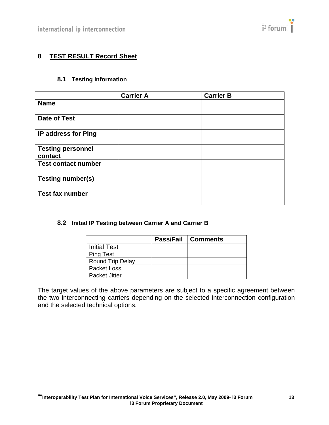# <span id="page-12-1"></span><span id="page-12-0"></span>**8 TEST RESULT Record Sheet**

# **8.1 Testing Information**

<span id="page-12-2"></span>

|                                     | <b>Carrier A</b> | <b>Carrier B</b> |
|-------------------------------------|------------------|------------------|
| <b>Name</b>                         |                  |                  |
| <b>Date of Test</b>                 |                  |                  |
| IP address for Ping                 |                  |                  |
| <b>Testing personnel</b><br>contact |                  |                  |
| <b>Test contact number</b>          |                  |                  |
| <b>Testing number(s)</b>            |                  |                  |
| <b>Test fax number</b>              |                  |                  |

#### <span id="page-12-3"></span>**8.2 Initial IP Testing between Carrier A and Carrier B**

|                      | <b>Pass/Fail   Comments</b> |
|----------------------|-----------------------------|
| <b>Initial Test</b>  |                             |
| <b>Ping Test</b>     |                             |
| Round Trip Delay     |                             |
| Packet Loss          |                             |
| <b>Packet Jitter</b> |                             |

The target values of the above parameters are subject to a specific agreement between the two interconnecting carriers depending on the selected interconnection configuration and the selected technical options.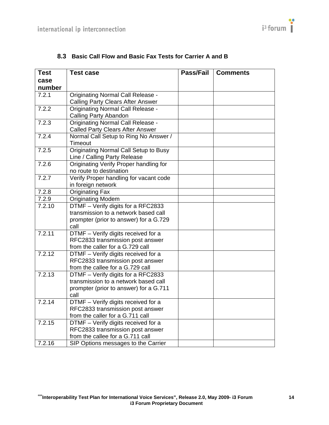<span id="page-13-1"></span><span id="page-13-0"></span>

| <b>Test</b> | <b>Test case</b>                         | Pass/Fail | <b>Comments</b> |
|-------------|------------------------------------------|-----------|-----------------|
| case        |                                          |           |                 |
| number      |                                          |           |                 |
| 7.2.1       | <b>Originating Normal Call Release -</b> |           |                 |
|             | <b>Calling Party Clears After Answer</b> |           |                 |
| 7.2.2       | <b>Originating Normal Call Release -</b> |           |                 |
|             | Calling Party Abandon                    |           |                 |
| 7.2.3       | <b>Originating Normal Call Release -</b> |           |                 |
|             | <b>Called Party Clears After Answer</b>  |           |                 |
| 7.2.4       | Normal Call Setup to Ring No Answer /    |           |                 |
|             | Timeout                                  |           |                 |
| 7.2.5       | Originating Normal Call Setup to Busy    |           |                 |
|             | Line / Calling Party Release             |           |                 |
| 7.2.6       | Originating Verify Proper handling for   |           |                 |
|             | no route to destination                  |           |                 |
| 7.2.7       | Verify Proper handling for vacant code   |           |                 |
|             | in foreign network                       |           |                 |
| 7.2.8       | <b>Originating Fax</b>                   |           |                 |
| 7.2.9       | <b>Originating Modem</b>                 |           |                 |
| 7.2.10      | DTMF - Verify digits for a RFC2833       |           |                 |
|             | transmission to a network based call     |           |                 |
|             | prompter (prior to answer) for a G.729   |           |                 |
|             | call                                     |           |                 |
| 7.2.11      | DTMF - Verify digits received for a      |           |                 |
|             | RFC2833 transmission post answer         |           |                 |
|             | from the caller for a G.729 call         |           |                 |
| 7.2.12      | DTMF - Verify digits received for a      |           |                 |
|             | RFC2833 transmission post answer         |           |                 |
|             | from the callee for a G.729 call         |           |                 |
| 7.2.13      | DTMF - Verify digits for a RFC2833       |           |                 |
|             | transmission to a network based call     |           |                 |
|             | prompter (prior to answer) for a G.711   |           |                 |
|             | call                                     |           |                 |
| 7.2.14      | DTMF - Verify digits received for a      |           |                 |
|             | RFC2833 transmission post answer         |           |                 |
|             | from the caller for a G.711 call         |           |                 |
| 7.2.15      | DTMF - Verify digits received for a      |           |                 |
|             | RFC2833 transmission post answer         |           |                 |
|             | from the callee for a G.711 call         |           |                 |
| 7.2.16      | SIP Options messages to the Carrier      |           |                 |

# **8.3 Basic Call Flow and Basic Fax Tests for Carrier A and B**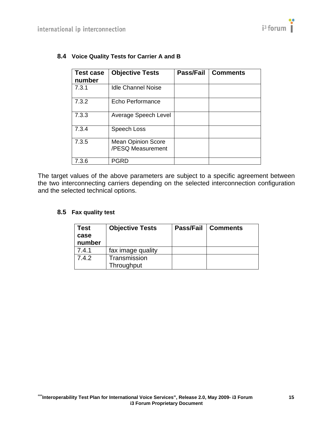| <b>Test case</b><br>number | <b>Objective Tests</b>                         | Pass/Fail | <b>Comments</b> |
|----------------------------|------------------------------------------------|-----------|-----------------|
| 7.3.1                      | <b>Idle Channel Noise</b>                      |           |                 |
| 7.3.2                      | Echo Performance                               |           |                 |
| 7.3.3                      | Average Speech Level                           |           |                 |
| 7.3.4                      | Speech Loss                                    |           |                 |
| 7.3.5                      | <b>Mean Opinion Score</b><br>/PESQ Measurement |           |                 |
| 7.3.6                      | PGRD                                           |           |                 |

# <span id="page-14-1"></span><span id="page-14-0"></span>**8.4 Voice Quality Tests for Carrier A and B**

<span id="page-14-2"></span>The target values of the above parameters are subject to a specific agreement between the two interconnecting carriers depending on the selected interconnection configuration and the selected technical options.

### **8.5 Fax quality test**

| Test<br>case<br>number | <b>Objective Tests</b>     | <b>Pass/Fail   Comments</b> |
|------------------------|----------------------------|-----------------------------|
| 7.4.1                  | fax image quality          |                             |
| 7.4.2                  | Transmission<br>Throughput |                             |